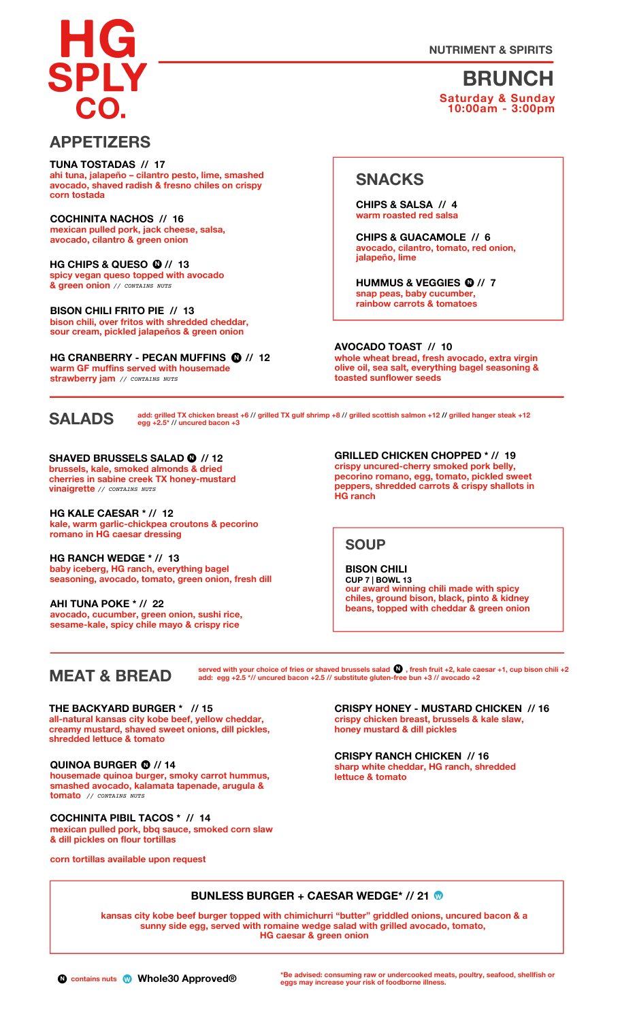**NUTRIMENT & SPIRITS**

**BRUNCH Saturday & Sunday 10:00am - 3:00pm**

### **APPETIZERS**

**ahi tuna, jalapeño – cilantro pesto, lime, smashed avocado, shaved radish & fresno chiles on crispy corn tostada TUNA TOSTADAS // 17**

**mexican pulled pork, jack cheese, salsa, avocado, cilantro & green onion COCHINITA NACHOS // 16**

**• HG CHIPS & QUESO <sup>N</sup> // <sup>13</sup>** *// CONTAINS NUTS* **& green onion spicy vegan queso topped with avocado**

**bison chili, over fritos with shredded cheddar, sour cream, pickled jalapeños & green onion BISON CHILI FRITO PIE // 13**

**• N HG CRANBERRY - PECAN MUFFINS // 12 warm GF muffins served with housemade strawberry jam** *// CONTAINS NUTS*

## **SNACKS**

**warm roasted red salsa CHIPS & SALSA // 4**

**avocado, cilantro, tomato, red onion, jalapeño, lime CHIPS & GUACAMOLE // 6**

**0** /<br>er, **N HUMMUS & VEGGIES // 7 snap peas, baby cucumber, rainbow carrots & tomatoes**

**whole wheat bread, fresh avocado, extra virgin olive oil, sea salt, everything bagel seasoning & toasted sunflower seeds AVOCADO TOAST // 10**



add: grilled TX chicken breast +6 // grilled TX gulf shrimp +8 // grilled scottish salmon +12 // grilled hanger steak +12<br>egg +2.5\* // uncured bacon +3

**N SHAVED BRUSSELS SALAD // 12 brussels, kale, smoked almonds & dried cherries in sabine creek TX honey-mustard vinaigrette** *// CONTAINS NUTS*

**kale, warm garlic-chickpea croutons & pecorino romano in HG caesar dressing HG KALE CAESAR \* // 12**

**baby iceberg, HG ranch, everything bagel seasoning, avocado, tomato, green onion, fresh dill HG RANCH WEDGE \* // 13**

**avocado, cucumber, green onion, sushi rice, sesame-kale, spicy chile mayo & crispy rice AHI TUNA POKE \* // 22**

**crispy uncured-cherry smoked pork belly, pecorino romano, egg, tomato, pickled sweet peppers, shredded carrots & crispy shallots in HG ranch GRILLED CHICKEN CHOPPED \* // <sup>19</sup> •**

**SOUP**

**our award winning chili made with spicy chiles, ground bison, black, pinto & kidney beans, topped with cheddar & green onion BISON CHILI CUP 7 | BOWL 13**

## **MEAT & BREAD**

served with your choice of fries or shaved brussels salad  $\bigcup$  , fresh fruit +2, kale caesar +1, cup bison chili +2 **add: egg +2.5 \*// uncured bacon +2.5 // substitute gluten-• free bun +3 // avocado +2 N**

**all-natural kansas city kobe beef, yellow cheddar, creamy mustard, shaved sweet onions, dill pickles, shredded lettuce & tomato THE BACKYARD BURGER \* // 15**

**housemade quinoa burger, smoky carrot hummus, smashed avocado, kalamata tapenade, arugula & tomato** *// CONTAINS NUTS* **QUINOA BURGER • <sup>N</sup> // 14**

**mexican pulled pork, bbq sauce, smoked corn slaw & dill pickles on flour tortillas COCHINITA PIBIL TACOS \* // 14**

**corn tortillas available upon request**

**crispy chicken breast, brussels & kale slaw, honey mustard & dill pickles CRISPY HONEY - MUSTARD CHICKEN // 16**

**sharp white cheddar, HG ranch, shredded lettuce & tomato CRISPY RANCH CHICKEN // 16**

#### **BUNLESS BURGER <sup>+</sup> CAESAR WEDGE\* // <sup>21</sup> •<sup>W</sup>**

**kansas city kobe beef burger topped with chimichurri "butter" griddled onions, uncured bacon & a sunny side egg, served with romaine wedge salad with grilled avocado, tomato, HG caesar & green onion**